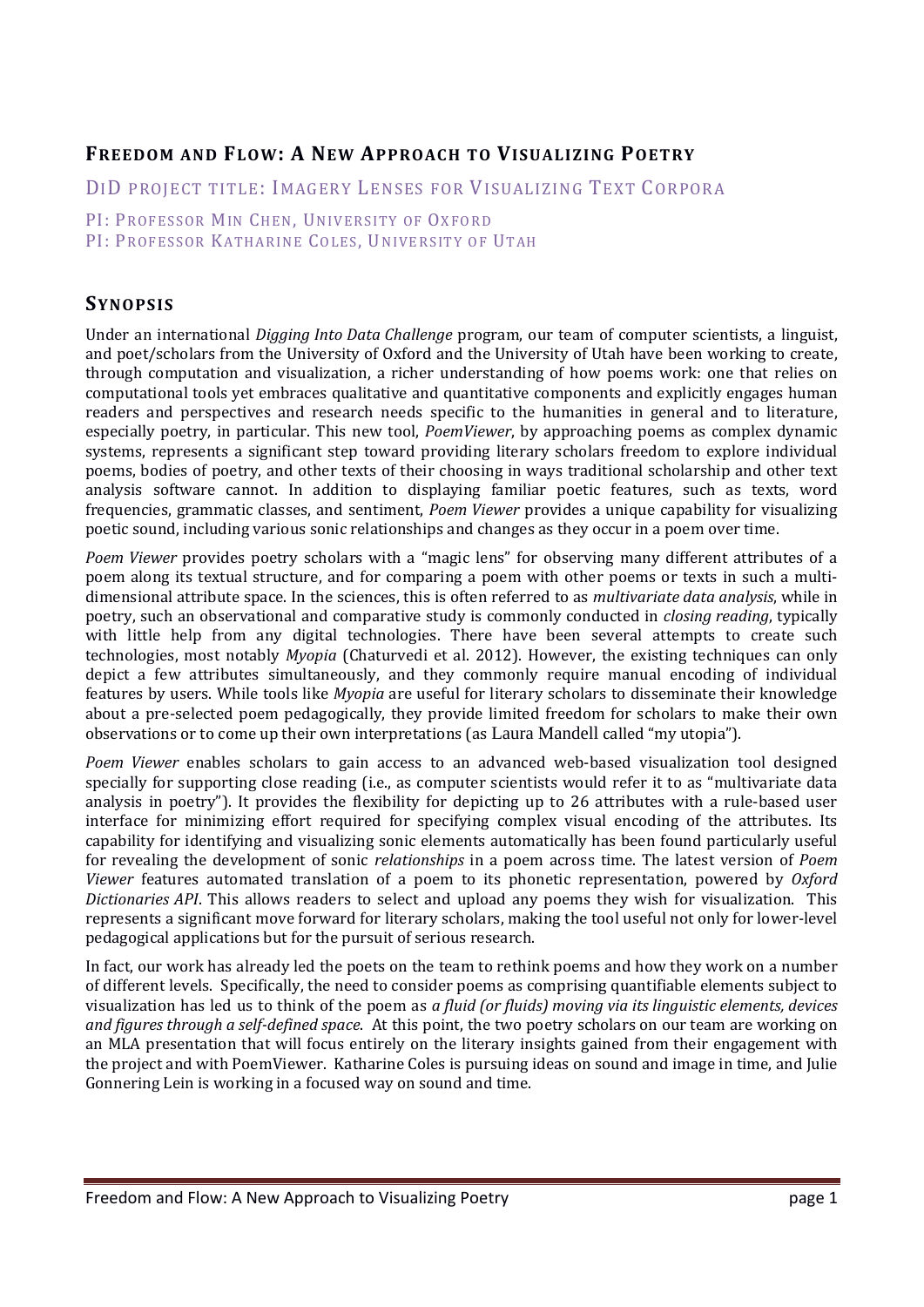# **FREEDOM AND FLOW: A NEW APPROACH TO VISUALIZING POETRY**

DID PROJECT TITLE: IMAGERY LENSES FOR VISUALIZING TEXT CORPORA

PI: PROFESSOR MIN CHEN, UNIVERSITY OF OXFORD

PI: PROFESSOR KATHARINE COLES, UNIVERSITY OF UTAH

# **SYNOPSIS**

Under an international *Digging Into Data Challenge* program, our team of computer scientists, a linguist, and poet/scholars from the University of Oxford and the University of Utah have been working to create, through computation and visualization, a richer understanding of how poems work: one that relies on computational tools vet embraces qualitative and quantitative components and explicitly engages human readers and perspectives and research needs specific to the humanities in general and to literature, especially poetry, in particular. This new tool, *PoemViewer*, by approaching poems as complex dynamic systems, represents a significant step toward providing literary scholars freedom to explore individual poems, bodies of poetry, and other texts of their choosing in ways traditional scholarship and other text analysis software cannot. In addition to displaying familiar poetic features, such as texts, word frequencies, grammatic classes, and sentiment, *Poem Viewer* provides a unique capability for visualizing poetic sound, including various sonic relationships and changes as they occur in a poem over time.

*Poem Viewer* provides poetry scholars with a "magic lens" for observing many different attributes of a poem along its textual structure, and for comparing a poem with other poems or texts in such a multidimensional attribute space. In the sciences, this is often referred to as *multivariate data analysis*, while in poetry, such an observational and comparative study is commonly conducted in *closing reading*, typically with little help from any digital technologies. There have been several attempts to create such technologies, most notably *Myopia* (Chaturvedi et al. 2012). However, the existing techniques can only depict a few attributes simultaneously, and they commonly require manual encoding of individual features by users. While tools like *Myopia* are useful for literary scholars to disseminate their knowledge about a pre-selected poem pedagogically, they provide limited freedom for scholars to make their own observations or to come up their own interpretations (as Laura Mandell called "my utopia").

*Poem Viewer* enables scholars to gain access to an advanced web-based visualization tool designed specially for supporting close reading (i.e., as computer scientists would refer it to as "multivariate data" analysis in poetry"). It provides the flexibility for depicting up to 26 attributes with a rule-based user interface for minimizing effort required for specifying complex visual encoding of the attributes. Its capability for identifying and visualizing sonic elements automatically has been found particularly useful for revealing the development of sonic *relationships* in a poem across time. The latest version of *Poem Viewer* features automated translation of a poem to its phonetic representation, powered by *Oxford Dictionaries API*. This allows readers to select and upload any poems they wish for visualization. This represents a significant move forward for literary scholars, making the tool useful not only for lower-level pedagogical applications but for the pursuit of serious research.

In fact, our work has already led the poets on the team to rethink poems and how they work on a number of different levels. Specifically, the need to consider poems as comprising quantifiable elements subject to visualization has led us to think of the poem as *a fluid (or fluids) moving via its linguistic elements, devices and figures through a self‐defined space*. At this point, the two poetry scholars on our team are working on an MLA presentation that will focus entirely on the literary insights gained from their engagement with the project and with PoemViewer. Katharine Coles is pursuing ideas on sound and image in time, and Julie Gonnering Lein is working in a focused way on sound and time.